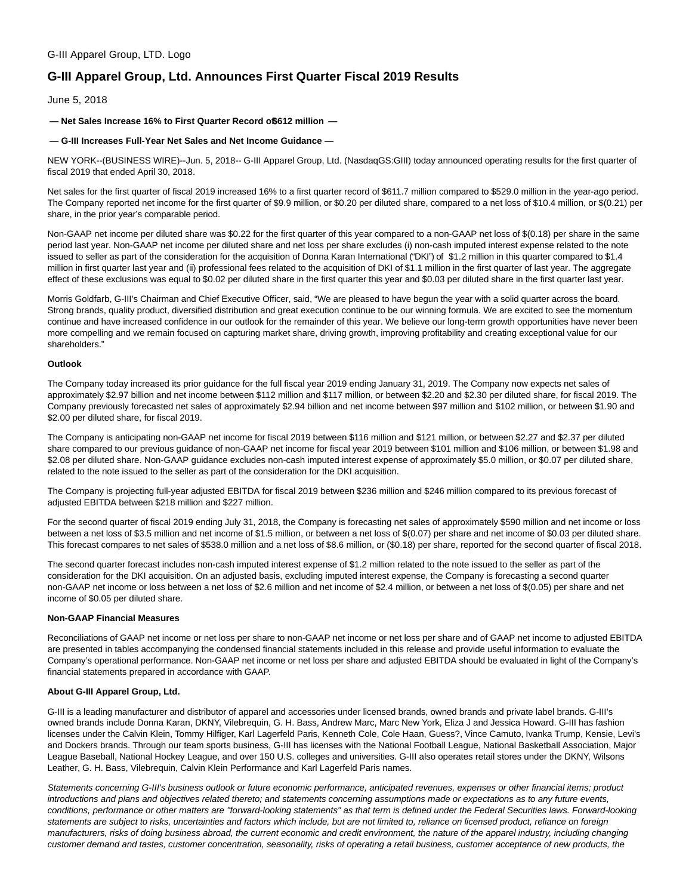# **G-III Apparel Group, Ltd. Announces First Quarter Fiscal 2019 Results**

## June 5, 2018

### $-$  Net Sales Increase 16% to First Quarter Record of \$612 million  $-$

## **— G-III Increases Full-Year Net Sales and Net Income Guidance —**

NEW YORK--(BUSINESS WIRE)--Jun. 5, 2018-- G-III Apparel Group, Ltd. (NasdaqGS:GIII) today announced operating results for the first quarter of fiscal 2019 that ended April 30, 2018.

Net sales for the first quarter of fiscal 2019 increased 16% to a first quarter record of \$611.7 million compared to \$529.0 million in the year-ago period. The Company reported net income for the first quarter of \$9.9 million, or \$0.20 per diluted share, compared to a net loss of \$10.4 million, or \$(0.21) per share, in the prior year's comparable period.

Non-GAAP net income per diluted share was \$0.22 for the first quarter of this year compared to a non-GAAP net loss of \$(0.18) per share in the same period last year. Non-GAAP net income per diluted share and net loss per share excludes (i) non-cash imputed interest expense related to the note issued to seller as part of the consideration for the acquisition of Donna Karan International ("DKI") of \$1.2 million in this quarter compared to \$1.4 million in first quarter last year and (ii) professional fees related to the acquisition of DKI of \$1.1 million in the first quarter of last year. The aggregate effect of these exclusions was equal to \$0.02 per diluted share in the first quarter this year and \$0.03 per diluted share in the first quarter last year.

Morris Goldfarb, G-III's Chairman and Chief Executive Officer, said, "We are pleased to have begun the year with a solid quarter across the board. Strong brands, quality product, diversified distribution and great execution continue to be our winning formula. We are excited to see the momentum continue and have increased confidence in our outlook for the remainder of this year. We believe our long-term growth opportunities have never been more compelling and we remain focused on capturing market share, driving growth, improving profitability and creating exceptional value for our shareholders."

### **Outlook**

The Company today increased its prior guidance for the full fiscal year 2019 ending January 31, 2019. The Company now expects net sales of approximately \$2.97 billion and net income between \$112 million and \$117 million, or between \$2.20 and \$2.30 per diluted share, for fiscal 2019. The Company previously forecasted net sales of approximately \$2.94 billion and net income between \$97 million and \$102 million, or between \$1.90 and \$2.00 per diluted share, for fiscal 2019.

The Company is anticipating non-GAAP net income for fiscal 2019 between \$116 million and \$121 million, or between \$2.27 and \$2.37 per diluted share compared to our previous guidance of non-GAAP net income for fiscal year 2019 between \$101 million and \$106 million, or between \$1.98 and \$2.08 per diluted share. Non-GAAP guidance excludes non-cash imputed interest expense of approximately \$5.0 million, or \$0.07 per diluted share, related to the note issued to the seller as part of the consideration for the DKI acquisition.

The Company is projecting full-year adjusted EBITDA for fiscal 2019 between \$236 million and \$246 million compared to its previous forecast of adjusted EBITDA between \$218 million and \$227 million.

For the second quarter of fiscal 2019 ending July 31, 2018, the Company is forecasting net sales of approximately \$590 million and net income or loss between a net loss of \$3.5 million and net income of \$1.5 million, or between a net loss of \$(0.07) per share and net income of \$0.03 per diluted share. This forecast compares to net sales of \$538.0 million and a net loss of \$8.6 million, or (\$0.18) per share, reported for the second quarter of fiscal 2018.

The second quarter forecast includes non-cash imputed interest expense of \$1.2 million related to the note issued to the seller as part of the consideration for the DKI acquisition. On an adjusted basis, excluding imputed interest expense, the Company is forecasting a second quarter non-GAAP net income or loss between a net loss of \$2.6 million and net income of \$2.4 million, or between a net loss of \$(0.05) per share and net income of \$0.05 per diluted share.

### **Non-GAAP Financial Measures**

Reconciliations of GAAP net income or net loss per share to non-GAAP net income or net loss per share and of GAAP net income to adjusted EBITDA are presented in tables accompanying the condensed financial statements included in this release and provide useful information to evaluate the Company's operational performance. Non-GAAP net income or net loss per share and adjusted EBITDA should be evaluated in light of the Company's financial statements prepared in accordance with GAAP.

### **About G-III Apparel Group, Ltd.**

G-III is a leading manufacturer and distributor of apparel and accessories under licensed brands, owned brands and private label brands. G-III's owned brands include Donna Karan, DKNY, Vilebrequin, G. H. Bass, Andrew Marc, Marc New York, Eliza J and Jessica Howard. G-III has fashion licenses under the Calvin Klein, Tommy Hilfiger, Karl Lagerfeld Paris, Kenneth Cole, Cole Haan, Guess?, Vince Camuto, Ivanka Trump, Kensie, Levi's and Dockers brands. Through our team sports business, G-III has licenses with the National Football League, National Basketball Association, Major League Baseball, National Hockey League, and over 150 U.S. colleges and universities. G-III also operates retail stores under the DKNY, Wilsons Leather, G. H. Bass, Vilebrequin, Calvin Klein Performance and Karl Lagerfeld Paris names.

Statements concerning G-III's business outlook or future economic performance, anticipated revenues, expenses or other financial items; product introductions and plans and objectives related thereto; and statements concerning assumptions made or expectations as to any future events, conditions, performance or other matters are "forward-looking statements" as that term is defined under the Federal Securities laws. Forward-looking statements are subject to risks, uncertainties and factors which include, but are not limited to, reliance on licensed product, reliance on foreign manufacturers, risks of doing business abroad, the current economic and credit environment, the nature of the apparel industry, including changing customer demand and tastes, customer concentration, seasonality, risks of operating a retail business, customer acceptance of new products, the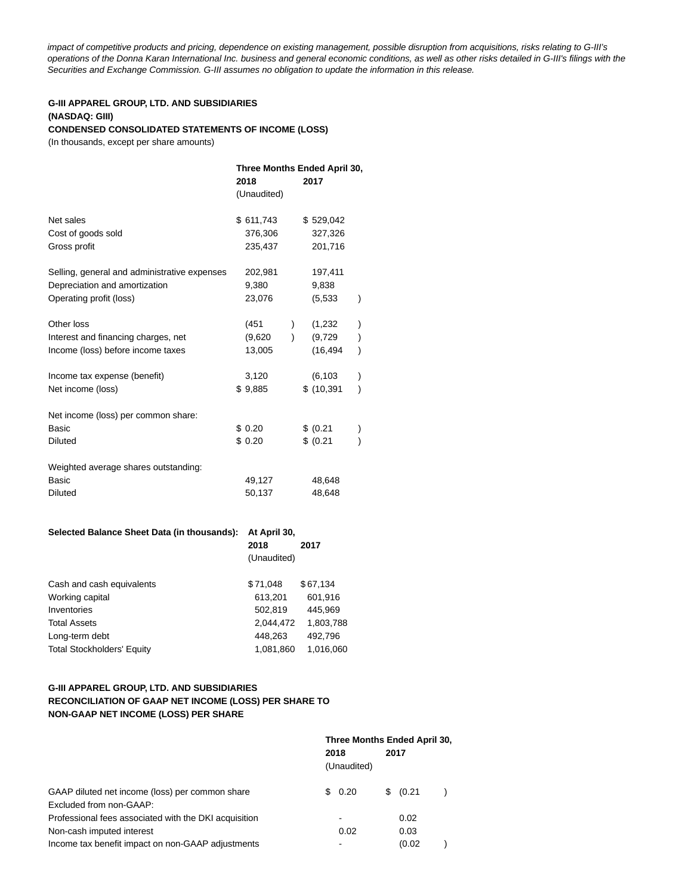impact of competitive products and pricing, dependence on existing management, possible disruption from acquisitions, risks relating to G-III's operations of the Donna Karan International Inc. business and general economic conditions, as well as other risks detailed in G-III's filings with the Securities and Exchange Commission. G-III assumes no obligation to update the information in this release.

## **G-III APPAREL GROUP, LTD. AND SUBSIDIARIES (NASDAQ: GIII)**

## **CONDENSED CONSOLIDATED STATEMENTS OF INCOME (LOSS)**

(In thousands, except per share amounts)

|                                              | Three Months Ended April 30, |             |  |  |             |  |
|----------------------------------------------|------------------------------|-------------|--|--|-------------|--|
|                                              | 2018                         |             |  |  | 2017        |  |
|                                              |                              | (Unaudited) |  |  |             |  |
| Net sales                                    |                              | \$ 611,743  |  |  | \$529,042   |  |
| Cost of goods sold                           |                              | 376,306     |  |  | 327,326     |  |
| Gross profit                                 |                              | 235,437     |  |  | 201,716     |  |
| Selling, general and administrative expenses |                              | 202,981     |  |  | 197,411     |  |
| Depreciation and amortization                |                              | 9,380       |  |  | 9,838       |  |
| Operating profit (loss)                      |                              | 23,076      |  |  | (5,533)     |  |
| Other loss                                   |                              | (451        |  |  | (1,232)     |  |
| Interest and financing charges, net          |                              | (9,620)     |  |  | (9,729)     |  |
| Income (loss) before income taxes            |                              | 13,005      |  |  | (16, 494)   |  |
| Income tax expense (benefit)                 |                              | 3,120       |  |  | (6, 103)    |  |
| Net income (loss)                            |                              | \$9,885     |  |  | \$(10, 391) |  |
| Net income (loss) per common share:          |                              |             |  |  |             |  |
| Basic                                        |                              | \$ 0.20     |  |  | \$ (0.21)   |  |
| <b>Diluted</b>                               | \$0.20                       |             |  |  | \$ (0.21)   |  |
| Weighted average shares outstanding:         |                              |             |  |  |             |  |
| Basic                                        |                              | 49,127      |  |  | 48,648      |  |
| <b>Diluted</b>                               |                              | 50,137      |  |  | 48,648      |  |

| Selected Balance Sheet Data (in thousands): | At April 30,<br>2018<br>(Unaudited) | 2017      |  |  |
|---------------------------------------------|-------------------------------------|-----------|--|--|
| Cash and cash equivalents                   | \$71,048                            | \$67,134  |  |  |
| Working capital                             | 613,201                             | 601,916   |  |  |
| Inventories                                 | 502,819                             | 445,969   |  |  |
| <b>Total Assets</b>                         | 2,044,472                           | 1,803,788 |  |  |
| Long-term debt                              | 448,263                             | 492,796   |  |  |
| <b>Total Stockholders' Equity</b>           | 1,081,860                           | 1,016,060 |  |  |

## **G-III APPAREL GROUP, LTD. AND SUBSIDIARIES RECONCILIATION OF GAAP NET INCOME (LOSS) PER SHARE TO NON-GAAP NET INCOME (LOSS) PER SHARE**

|                                                                                    | Three Months Ended April 30,<br>2018<br>2017<br>(Unaudited) |           |  |              |  |  |  |
|------------------------------------------------------------------------------------|-------------------------------------------------------------|-----------|--|--------------|--|--|--|
| GAAP diluted net income (loss) per common share<br>Excluded from non-GAAP:         |                                                             | \$0.20    |  | $$^{(0.21)}$ |  |  |  |
| Professional fees associated with the DKI acquisition<br>Non-cash imputed interest |                                                             | -<br>0.02 |  | 0.02<br>0.03 |  |  |  |
| Income tax benefit impact on non-GAAP adjustments                                  |                                                             |           |  | (0.02)       |  |  |  |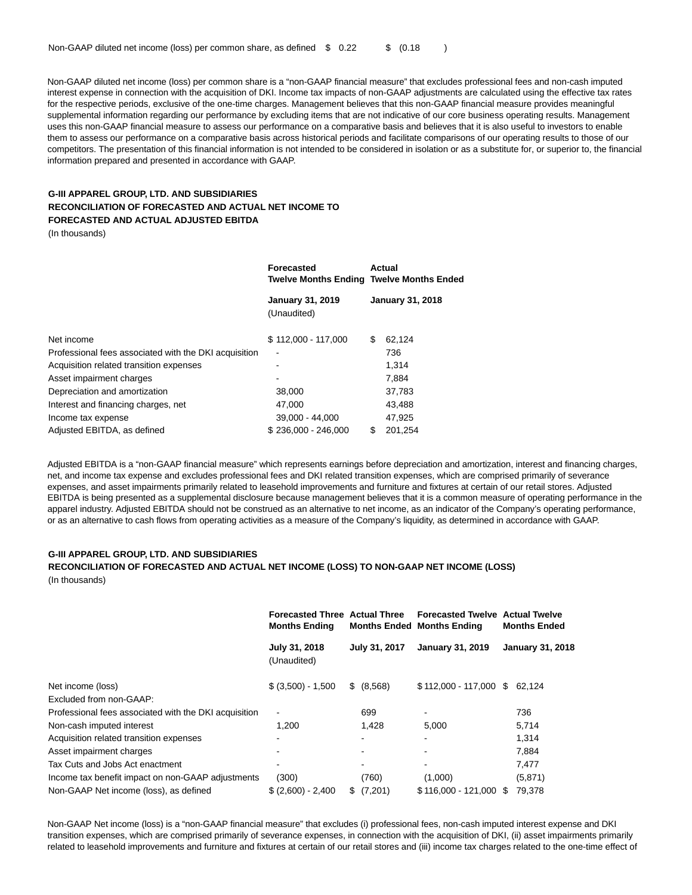Non-GAAP diluted net income (loss) per common share is a "non-GAAP financial measure" that excludes professional fees and non-cash imputed interest expense in connection with the acquisition of DKI. Income tax impacts of non-GAAP adjustments are calculated using the effective tax rates for the respective periods, exclusive of the one-time charges. Management believes that this non-GAAP financial measure provides meaningful supplemental information regarding our performance by excluding items that are not indicative of our core business operating results. Management uses this non-GAAP financial measure to assess our performance on a comparative basis and believes that it is also useful to investors to enable them to assess our performance on a comparative basis across historical periods and facilitate comparisons of our operating results to those of our competitors. The presentation of this financial information is not intended to be considered in isolation or as a substitute for, or superior to, the financial information prepared and presented in accordance with GAAP.

## **G-III APPAREL GROUP, LTD. AND SUBSIDIARIES RECONCILIATION OF FORECASTED AND ACTUAL NET INCOME TO FORECASTED AND ACTUAL ADJUSTED EBITDA**

(In thousands)

| <b>Forecasted</b>                      | Actual<br><b>January 31, 2018</b> |                                                 |  |  |
|----------------------------------------|-----------------------------------|-------------------------------------------------|--|--|
| <b>January 31, 2019</b><br>(Unaudited) |                                   |                                                 |  |  |
| \$112,000 - 117,000                    | \$                                | 62.124                                          |  |  |
|                                        |                                   | 736                                             |  |  |
|                                        |                                   | 1,314                                           |  |  |
|                                        |                                   | 7,884                                           |  |  |
| 38,000                                 |                                   | 37,783                                          |  |  |
| 47.000                                 |                                   | 43,488                                          |  |  |
| 39.000 - 44.000                        |                                   | 47,925                                          |  |  |
| $$236.000 - 246.000$                   | \$                                | 201.254                                         |  |  |
|                                        |                                   | <b>Twelve Months Ending Twelve Months Ended</b> |  |  |

Adjusted EBITDA is a "non-GAAP financial measure" which represents earnings before depreciation and amortization, interest and financing charges, net, and income tax expense and excludes professional fees and DKI related transition expenses, which are comprised primarily of severance expenses, and asset impairments primarily related to leasehold improvements and furniture and fixtures at certain of our retail stores. Adjusted EBITDA is being presented as a supplemental disclosure because management believes that it is a common measure of operating performance in the apparel industry. Adjusted EBITDA should not be construed as an alternative to net income, as an indicator of the Company's operating performance, or as an alternative to cash flows from operating activities as a measure of the Company's liquidity, as determined in accordance with GAAP.

### **G-III APPAREL GROUP, LTD. AND SUBSIDIARIES**

### **RECONCILIATION OF FORECASTED AND ACTUAL NET INCOME (LOSS) TO NON-GAAP NET INCOME (LOSS)** (In thousands)

|                                                       | <b>Forecasted Three Actual Three</b><br><b>Months Ending</b> | <b>Months Ended Months Ending</b> | <b>Forecasted Twelve</b><br><b>Actual Twelve</b><br><b>Months Ended</b> |                         |  |
|-------------------------------------------------------|--------------------------------------------------------------|-----------------------------------|-------------------------------------------------------------------------|-------------------------|--|
|                                                       | July 31, 2018<br>(Unaudited)                                 | July 31, 2017                     | <b>January 31, 2019</b>                                                 | <b>January 31, 2018</b> |  |
| Net income (loss)                                     | $$ (3,500) - 1,500$                                          | \$ (8,568)                        | $$112,000 - 117,000$ \$                                                 | 62.124                  |  |
| Excluded from non-GAAP:                               |                                                              |                                   |                                                                         |                         |  |
| Professional fees associated with the DKI acquisition | ٠                                                            | 699                               |                                                                         | 736                     |  |
| Non-cash imputed interest                             | 1.200                                                        | 1,428                             | 5,000                                                                   | 5,714                   |  |
| Acquisition related transition expenses               |                                                              |                                   |                                                                         | 1.314                   |  |
| Asset impairment charges                              |                                                              |                                   |                                                                         | 7,884                   |  |
| Tax Cuts and Jobs Act enactment                       |                                                              |                                   |                                                                         | 7,477                   |  |
| Income tax benefit impact on non-GAAP adjustments     | (300)                                                        | (760)                             | (1,000)                                                                 | (5,871)                 |  |
| Non-GAAP Net income (loss), as defined                | $$ (2,600) - 2,400$                                          | \$(7,201)                         | \$116,000 - 121,000                                                     | 79.378<br>S.            |  |

Non-GAAP Net income (loss) is a "non-GAAP financial measure" that excludes (i) professional fees, non-cash imputed interest expense and DKI transition expenses, which are comprised primarily of severance expenses, in connection with the acquisition of DKI, (ii) asset impairments primarily related to leasehold improvements and furniture and fixtures at certain of our retail stores and (iii) income tax charges related to the one-time effect of